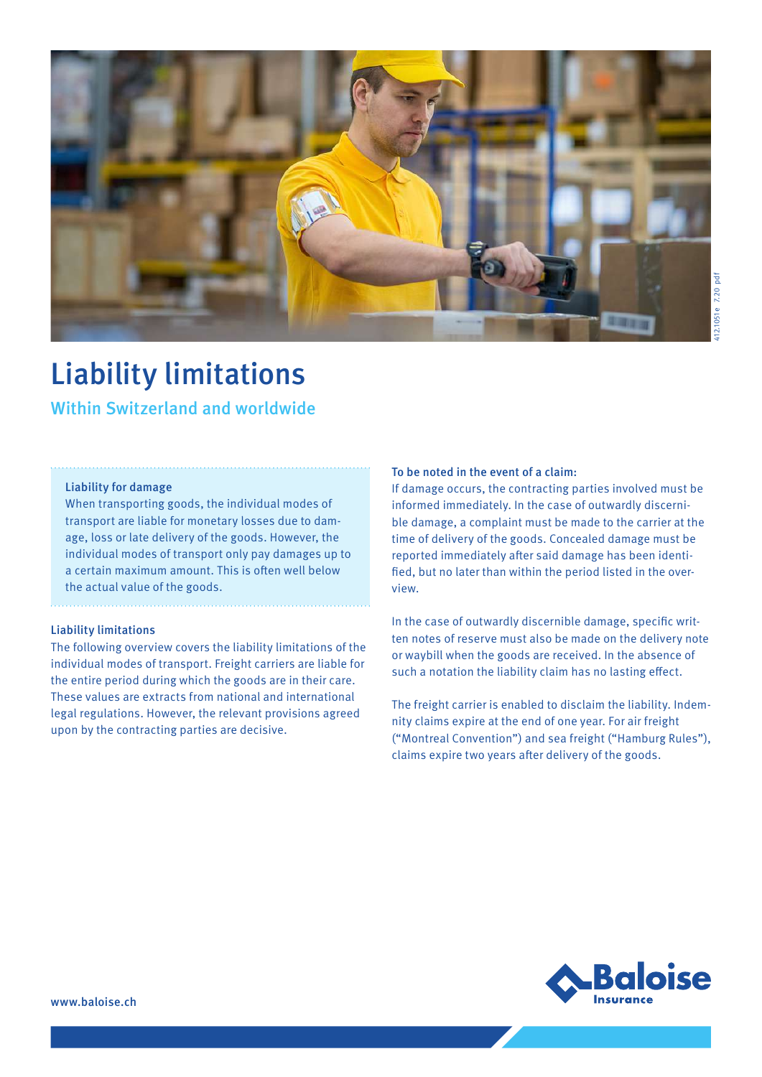

# Liability limitations

Within Switzerland and worldwide

#### Liability for damage

When transporting goods, the individual modes of transport are liable for monetary losses due to damage, loss or late delivery of the goods. However, the individual modes of transport only pay damages up to a certain maximum amount. This is often well below the actual value of the goods.

#### Liability limitations

The following overview covers the liability limitations of the individual modes of transport. Freight carriers are liable for the entire period during which the goods are in their care. These values are extracts from national and international legal regulations. However, the relevant provisions agreed upon by the contracting parties are decisive.

### To be noted in the event of a claim:

If damage occurs, the contracting parties involved must be informed immediately. In the case of outwardly discernible damage, a complaint must be made to the carrier at the time of delivery of the goods. Concealed damage must be reported immediately after said damage has been identified, but no later than within the period listed in the overview.

In the case of outwardly discernible damage, specific written notes of reserve must also be made on the delivery note or waybill when the goods are received. In the absence of such a notation the liability claim has no lasting effect.

The freight carrier is enabled to disclaim the liability. Indemnity claims expire at the end of one year. For air freight ("Montreal Convention") and sea freight ("Hamburg Rules"), claims expire two years after delivery of the goods.

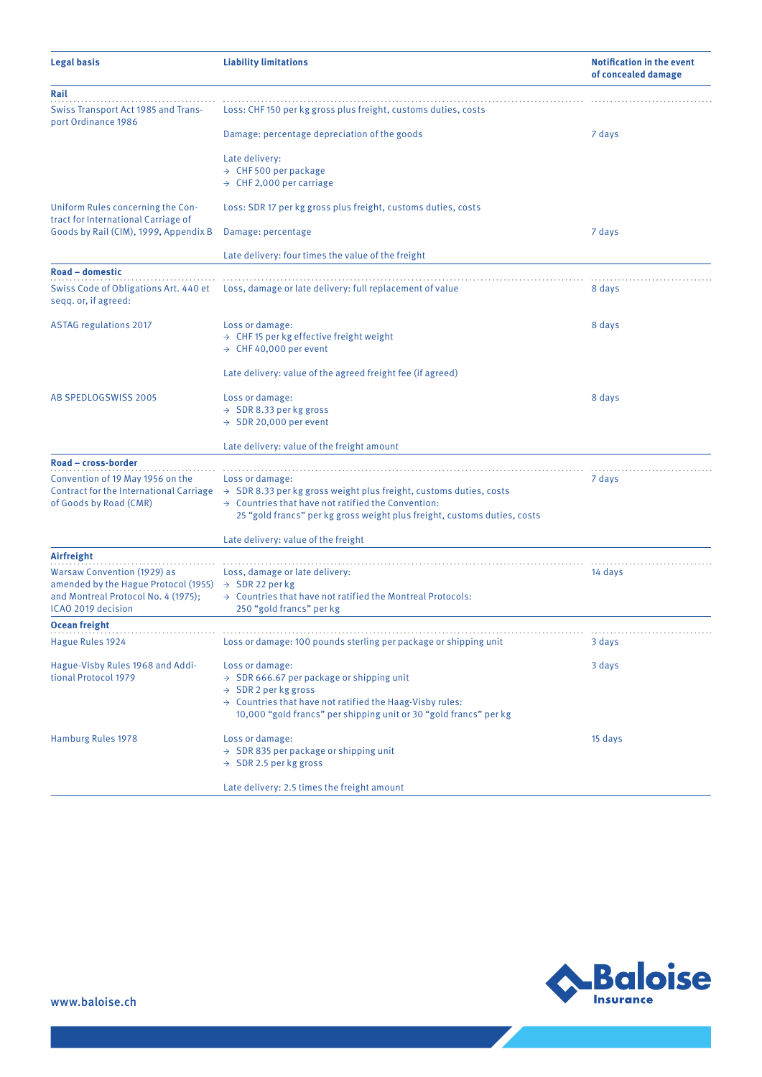| Legal basis                                                                                                       | <b>Liability limitations</b>                                                                                           | <b>Notification in the event</b><br>of concealed damage |
|-------------------------------------------------------------------------------------------------------------------|------------------------------------------------------------------------------------------------------------------------|---------------------------------------------------------|
| Rail                                                                                                              |                                                                                                                        |                                                         |
| <b>Swiss Transport Act 1985 and Trans-</b><br>port Ordinance 1986                                                 | Loss: CHF 150 per kg gross plus freight, customs duties, costs                                                         |                                                         |
|                                                                                                                   | Damage: percentage depreciation of the goods                                                                           | 7 days                                                  |
|                                                                                                                   | Late delivery:                                                                                                         |                                                         |
|                                                                                                                   | $\rightarrow$ CHF 500 per package                                                                                      |                                                         |
|                                                                                                                   | $\rightarrow$ CHF 2,000 per carriage                                                                                   |                                                         |
| Uniform Rules concerning the Con-<br>tract for International Carriage of<br>Goods by Rail (CIM), 1999, Appendix B | Loss: SDR 17 per kg gross plus freight, customs duties, costs                                                          |                                                         |
|                                                                                                                   | Damage: percentage                                                                                                     | 7 days                                                  |
|                                                                                                                   | Late delivery: four times the value of the freight                                                                     |                                                         |
| Road - domestic<br>Swiss Code of Obligations Art. 440 et<br>segg. or, if agreed:                                  | Loss, damage or late delivery: full replacement of value                                                               | 8 days                                                  |
| <b>ASTAG regulations 2017</b>                                                                                     | Loss or damage:                                                                                                        | 8 days                                                  |
|                                                                                                                   | $\rightarrow$ CHF 15 per kg effective freight weight                                                                   |                                                         |
|                                                                                                                   | $\rightarrow$ CHF 40,000 per event                                                                                     |                                                         |
|                                                                                                                   | Late delivery: value of the agreed freight fee (if agreed)                                                             |                                                         |
| AB SPEDLOGSWISS 2005                                                                                              | Loss or damage:                                                                                                        | 8 days                                                  |
|                                                                                                                   | $\rightarrow$ SDR 8.33 per kg gross                                                                                    |                                                         |
|                                                                                                                   | $\rightarrow$ SDR 20,000 per event                                                                                     |                                                         |
|                                                                                                                   | Late delivery: value of the freight amount                                                                             |                                                         |
| Road – cross-border                                                                                               |                                                                                                                        |                                                         |
| Convention of 19 May 1956 on the                                                                                  | Loss or damage:                                                                                                        | 7 days                                                  |
|                                                                                                                   | Contract for the International Carriage $\rightarrow$ SDR 8.33 per kg gross weight plus freight, customs duties, costs |                                                         |
| of Goods by Road (CMR)                                                                                            | $\rightarrow$ Countries that have not ratified the Convention:                                                         |                                                         |
|                                                                                                                   | 25 "gold francs" per kg gross weight plus freight, customs duties, costs                                               |                                                         |
|                                                                                                                   | Late delivery: value of the freight                                                                                    |                                                         |
| Airfreight                                                                                                        |                                                                                                                        |                                                         |
| <b>Warsaw Convention (1929) as</b>                                                                                | Loss, damage or late delivery:                                                                                         | 14 days                                                 |
| amended by the Hague Protocol (1955) $\rightarrow$ SDR 22 per kg                                                  |                                                                                                                        |                                                         |
| and Montreal Protocol No. 4 (1975);<br>ICAO 2019 decision                                                         | $\rightarrow$ Countries that have not ratified the Montreal Protocols:<br>250 "gold francs" per kg                     |                                                         |
| <b>Ocean freight</b>                                                                                              |                                                                                                                        |                                                         |
| Hague Rules 1924                                                                                                  | Loss or damage: 100 pounds sterling per package or shipping unit                                                       | 3 days                                                  |
|                                                                                                                   |                                                                                                                        |                                                         |
| Hague-Visby Rules 1968 and Addi-<br>tional Protocol 1979                                                          | Loss or damage:                                                                                                        | 3 days                                                  |
|                                                                                                                   | $\rightarrow$ SDR 666.67 per package or shipping unit<br>$\rightarrow$ SDR 2 per kg gross                              |                                                         |
|                                                                                                                   | $\rightarrow$ Countries that have not ratified the Haag-Visby rules:                                                   |                                                         |
|                                                                                                                   | 10,000 "gold francs" per shipping unit or 30 "gold francs" per kg                                                      |                                                         |
| Hamburg Rules 1978                                                                                                | Loss or damage:                                                                                                        | 15 days                                                 |
|                                                                                                                   | $\rightarrow$ SDR 835 per package or shipping unit                                                                     |                                                         |
|                                                                                                                   | $\rightarrow$ SDR 2.5 per kg gross                                                                                     |                                                         |
|                                                                                                                   | Late delivery: 2.5 times the freight amount                                                                            |                                                         |



Z